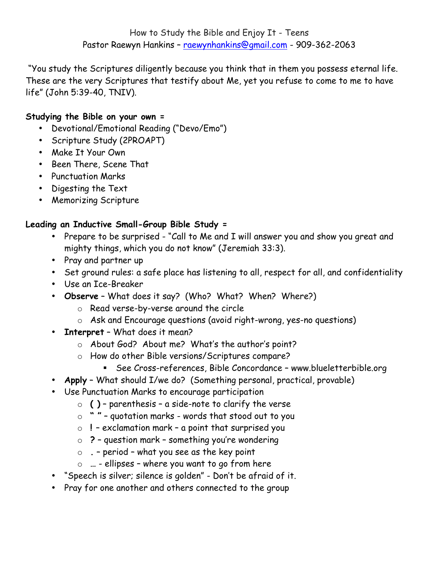"You study the Scriptures diligently because you think that in them you possess eternal life. These are the very Scriptures that testify about Me, yet you refuse to come to me to have life" (John 5:39-40, TNIV).

# **Studying the Bible on your own =**

- Devotional/Emotional Reading ("Devo/Emo")
- Scripture Study (2PROAPT)
- Make It Your Own
- Been There, Scene That
- Punctuation Marks
- Digesting the Text
- Memorizing Scripture

# **Leading an Inductive Small-Group Bible Study =**

- Prepare to be surprised "Call to Me and I will answer you and show you great and mighty things, which you do not know" (Jeremiah 33:3).
- Pray and partner up
- Set ground rules: a safe place has listening to all, respect for all, and confidentiality
- Use an Ice-Breaker
- **Observe** What does it say? (Who? What? When? Where?)
	- o Read verse-by-verse around the circle
	- o Ask and Encourage questions (avoid right-wrong, yes-no questions)
- **Interpret** What does it mean?
	- o About God? About me? What's the author's point?
	- o How do other Bible versions/Scriptures compare?
		- ! See Cross-references, Bible Concordance www.blueletterbible.org
- **Apply** What should I/we do? (Something personal, practical, provable)
- Use Punctuation Marks to encourage participation
	- o **( )** parenthesis a side-note to clarify the verse
	- o **" "** quotation marks words that stood out to you
	- o **!**  exclamation mark a point that surprised you
	- o **?** question mark something you're wondering
	- o **.** period what you see as the key point
	- o **…** ellipses where you want to go from here
- "Speech is silver; silence is golden" Don't be afraid of it.
- Pray for one another and others connected to the group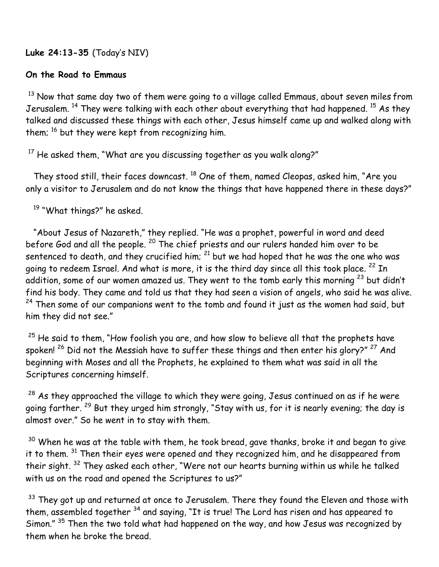**Luke 24:13-35** (Today's NIV)

# **On the Road to Emmaus**

 $13$  Now that same day two of them were going to a village called Emmaus, about seven miles from Jerusalem.  $^{14}$  They were talking with each other about everything that had happened.  $^{15}$  As they talked and discussed these things with each other, Jesus himself came up and walked along with them;  $^{16}$  but they were kept from recognizing him.

 $17$  He asked them, "What are you discussing together as you walk along?"

They stood still, their faces downcast. <sup>18</sup> One of them, named Cleopas, asked him, "Are you only a visitor to Jerusalem and do not know the things that have happened there in these days?"

<sup>19</sup> "What things?" he asked.

 "About Jesus of Nazareth," they replied. "He was a prophet, powerful in word and deed before God and all the people. <sup>20</sup> The chief priests and our rulers handed him over to be sentenced to death, and they crucified him;  $^{21}$  but we had hoped that he was the one who was going to redeem Israel. And what is more, it is the third day since all this took place. <sup>22</sup> In addition, some of our women amazed us. They went to the tomb early this morning  $^{23}$  but didn't find his body. They came and told us that they had seen a vision of angels, who said he was alive.  $24$  Then some of our companions went to the tomb and found it just as the women had said, but him they did not see."

 $25$  He said to them, "How foolish you are, and how slow to believe all that the prophets have spoken!  $26$  Did not the Messiah have to suffer these things and then enter his glory?"  $27$  And beginning with Moses and all the Prophets, he explained to them what was said in all the Scriptures concerning himself.

 $28$  As they approached the village to which they were going, Jesus continued on as if he were going farther. 29 But they urged him strongly, "Stay with us, for it is nearly evening; the day is almost over." So he went in to stay with them.

 $30$  When he was at the table with them, he took bread, gave thanks, broke it and began to give it to them.  $31$  Then their eyes were opened and they recognized him, and he disappeared from their sight. <sup>32</sup> They asked each other, "Were not our hearts burning within us while he talked with us on the road and opened the Scriptures to us?"

 $33$  They got up and returned at once to Jerusalem. There they found the Eleven and those with them, assembled together <sup>34</sup> and saying, "It is true! The Lord has risen and has appeared to Simon." <sup>35</sup> Then the two told what had happened on the way, and how Jesus was recognized by them when he broke the bread.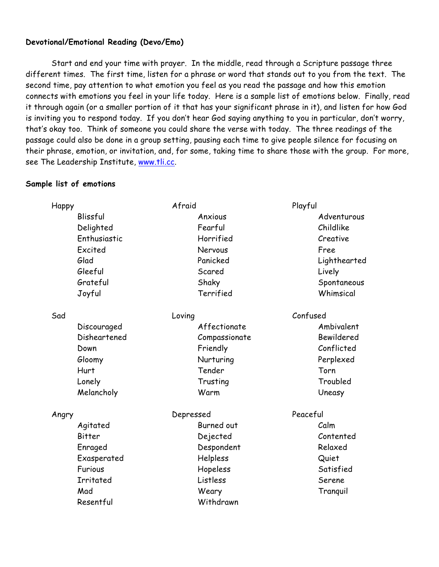# **Devotional/Emotional Reading (Devo/Emo)**

Start and end your time with prayer. In the middle, read through a Scripture passage three different times. The first time, listen for a phrase or word that stands out to you from the text. The second time, pay attention to what emotion you feel as you read the passage and how this emotion connects with emotions you feel in your life today. Here is a sample list of emotions below. Finally, read it through again (or a smaller portion of it that has your significant phrase in it), and listen for how God is inviting you to respond today. If you don't hear God saying anything to you in particular, don't worry, that's okay too. Think of someone you could share the verse with today. The three readings of the passage could also be done in a group setting, pausing each time to give people silence for focusing on their phrase, emotion, or invitation, and, for some, taking time to share those with the group. For more, see The Leadership Institute, www.tli.cc.

### **Sample list of emotions**

| Happy        | Afraid        | Playful      |
|--------------|---------------|--------------|
| Blissful     | Anxious       | Adventurous  |
| Delighted    | Fearful       | Childlike    |
| Enthusiastic | Horrified     | Creative     |
| Excited      | Nervous       | Free         |
| Glad         | Panicked      | Lighthearted |
| Gleeful      | Scared        | Lively       |
| Grateful     | Shaky         | Spontaneous  |
| Joyful       | Terrified     | Whimsical    |
| Sad          | Loving        | Confused     |
| Discouraged  | Affectionate  | Ambivalent   |
| Disheartened | Compassionate | Bewildered   |
| Down         | Friendly      | Conflicted   |
| Gloomy       | Nurturing     | Perplexed    |
| Hurt         | Tender        | Torn         |
| Lonely       | Trusting      | Troubled     |
| Melancholy   | Warm          | Uneasy       |
| Angry        | Depressed     | Peaceful     |
| Agitated     | Burned out    | Calm         |
| Bitter       | Dejected      | Contented    |
| Enraged      | Despondent    | Relaxed      |
| Exasperated  | Helpless      | Quiet        |
| Furious      | Hopeless      | Satisfied    |
| Irritated    | Listless      | Serene       |
| Mad          | Weary         | Tranguil     |
| Resentful    | Withdrawn     |              |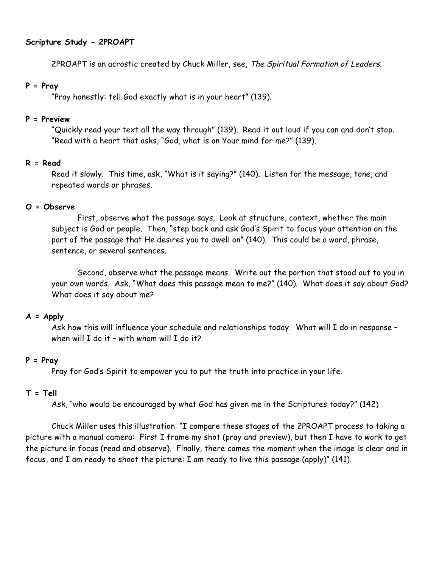# **Scripture Study - 2PROAPT**

2PROAPT is an acrostic created by Chuck Miller, see, The Spiritual Formation of Leaders.

### **P = Pray**

"Pray honestly: tell God exactly what is in your heart" (139).

# **P = Preview**

"Quickly read your text all the way through" (139). Read it out loud if you can and don't stop. "Read with a heart that asks, "God, what is on Your mind for me?" (139).

# **R = Read**

Read it slowly. This time, ask, "What is it saying?" (140). Listen for the message, tone, and repeated words or phrases.

# **O = Observe**

First, observe what the passage says. Look at structure, context, whether the main subject is God or people. Then, "step back and ask God's Spirit to focus your attention on the part of the passage that He desires you to dwell on" (140). This could be a word, phrase, sentence, or several sentences.

Second, observe what the passage means. Write out the portion that stood out to you in your own words. Ask, "What does this passage mean to me?" (140). What does it say about God? What does it say about me?

# **A = Apply**

Ask how this will influence your schedule and relationships today. What will I do in response when will I do it - with whom will I do it?

# **P = Pray**

Pray for God's Spirit to empower you to put the truth into practice in your life.

# **T = Tell**

Ask, "who would be encouraged by what God has given me in the Scriptures today?" (142)

Chuck Miller uses this illustration: "I compare these stages of the 2PROAPT process to taking a picture with a manual camera: First I frame my shot (pray and preview), but then I have to work to get the picture in focus (read and observe). Finally, there comes the moment when the image is clear and in focus, and I am ready to shoot the picture: I am ready to live this passage (apply)" (141).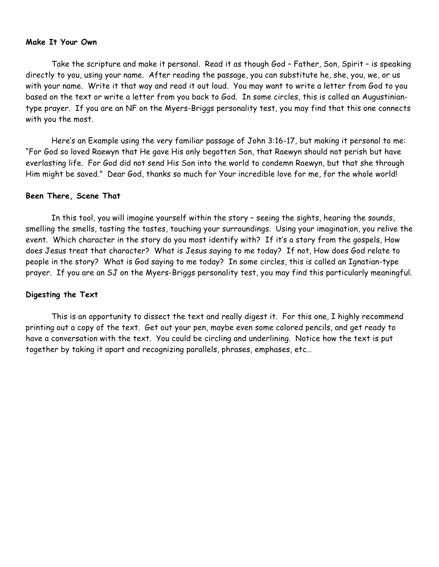#### **Make It Your Own**

Take the scripture and make it personal. Read it as though God – Father, Son, Spirit – is speaking directly to you, using your name. After reading the passage, you can substitute he, she, you, we, or us with your name. Write it that way and read it out loud. You may want to write a letter from God to you based on the text or write a letter from you back to God. In some circles, this is called an Augustiniantype prayer. If you are an NF on the Myers-Briggs personality test, you may find that this one connects with you the most.

Here's an Example using the very familiar passage of John 3:16-17, but making it personal to me: "For God so loved Raewyn that He gave His only begotten Son, that Raewyn should not perish but have everlasting life. For God did not send His Son into the world to condemn Raewyn, but that she through Him might be saved." Dear God, thanks so much for Your incredible love for me, for the whole world!

#### **Been There, Scene That**

In this tool, you will imagine yourself within the story – seeing the sights, hearing the sounds, smelling the smells, tasting the tastes, touching your surroundings. Using your imagination, you relive the event. Which character in the story do you most identify with? If it's a story from the gospels, How does Jesus treat that character? What is Jesus saying to me today? If not, How does God relate to people in the story? What is God saying to me today? In some circles, this is called an Ignatian-type prayer. If you are an SJ on the Myers-Briggs personality test, you may find this particularly meaningful.

### **Digesting the Text**

This is an opportunity to dissect the text and really digest it. For this one, I highly recommend printing out a copy of the text. Get out your pen, maybe even some colored pencils, and get ready to have a conversation with the text. You could be circling and underlining. Notice how the text is put together by taking it apart and recognizing parallels, phrases, emphases, etc…